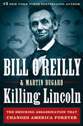#1  $_{\text{NEW} \text{ YORK}}$ 

## BILL OREILLY & MARTIN DUGARD Killing Lincoln

E SHOCKING ASSASSINATION THAT **CHANGED AMERICA FOREVER**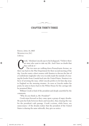## **CHAPTER THIRTY-THREE**

 $\sim$ 

FRIDAY, APRIL 14, 1865 WASHINGTON, D.C. 3:30 P.M.

 $\mathfrak{a}$ 

"The two men are walking down Pennsylvania Avenue, on their way back to the War Department for their second meeting of the War Department for their second meeting of the rook," Abraham Lincoln says to his bodyguard, "I believe there are men who want to take my life. And I have no doubt that they will do it."

The two men are walking down Pennsylvania Avenue, on day. Lincoln wants a short session with Stanton to discuss the fate of a Confederate ringleader who very recently made the mistake of crossing the border from Canada back into the United States. Stanton is in favor of arresting the man, while Lincoln prefers to let him slip away to England on the morning steamer. As soon as Lincoln makes his point, he aims to hurry back to the White House for the carriage ride he promised Mary.

William Crook is fond of the president and deeply unsettled by the comments.

"Why do you think so, Mr. President?"

Crook steps forward as they come upon a group of angry drunks. He puts his body between theirs and Lincoln's, thus clearing the way for the president's safe passage. Crook's actions, while brave, are unnecessary— if the drunks realize that the president of the United States is sharing the same sidewalk, they give no notice.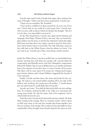Lincoln waits until Crook is beside him again, then continues his train of thought. "Other men have been assassinated," Lincoln says.

"I hope you are mistaken, Mr. President."

"I have perfect confidence in those around me. In every one of you men. I know that no one could do it and escape alive," Lincoln says. The two men walk in silence before he finishes his thought: "But if it is to be done, it is impossible to prevent it."

At the War Department, Lincoln once again invites Stanton and telegraph chief Major Thomas Eckert, the man who can break fireplace pokers over his arms, to attend *Our American Cousin* that night. Both men turn him down once again. Lincoln is upset by their rejection, but he doesn't show it outwardly. The only indication comes on the walk back to the White House, when he admits to Crook, "I do not want to go." Lincoln says it like a man facing a death sentence.

S

Inside the White House, Lincoln is pulled into an unscheduled lastminute meeting that will delay his carriage ride. Lincoln hides his exasperation and dutifully meets with New Hampshire congressman Edward H. Rollins. But as soon as Rollins leaves, yet another petitioner begs a few minutes of Lincoln's time. A weary Lincoln, all too aware that Mary will be most upset if he keeps her waiting much longer, gives former military aide Colonel William Coggeshall the benefit of a few moments.

Finally, Lincoln marches down the stairs and heads for the carriage. He notices a one- armed soldier standing off to one side of the hallway and overhears the young man tell another, "I would almost give my other hand if I could shake that of Lincoln."

Lincoln can't resist. "You shall do that and it shall cost you nothing, boy," he exclaims, smiling broadly as he walks over and grasps the young man's hand. He asks his name, that of his regiment, and in which battle he lost the arm.

Only then does Lincoln say his farewells and step outside. He finds Mary waiting at the carriage. She's in a tentative mood— they've spent so little time alone in the past few months that being together, just the two of them, feels strange. She wonders if Lincoln might be more comfortable if they brought some friends along for the open-air ride.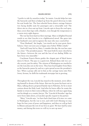## KILLING LINCOLN [175]

"I prefer to ride by ourselves today," he insists. Lincoln helps her into the barouche and then is helped up from the gravel driveway to take his seat beside her. The four- wheeled horse- drawn carriage features two facing double seats for passengers and a retractable roof. The driver sits in a box seat up front. Lincoln opts to keep the roof open, then covers their laps with a blanket, even though the temperature is a warm sixty-eight degrees.

The war has been hard on their marriage. Mary is delighted beyond words to see that Lincoln is in a lighthearted mood. She gazes into her husband's eyes and recognizes the man who once courted her.

"Dear Husband," she laughs, "you startle me by your great cheerfulness. I have not seen you so happy since before Willie's death."

"And well I may feel so, Mary. I consider this day, the war has come to a close." The president pauses. "We must both be more cheerful in the future— between the war and the loss of our darling Willie we have been very miserable."

Coachman Francis Burns guides the elegant pair of black horses down G Street. The pace is a quick trot. Behind them ride two cavalry escorts, just for safety. The citizens of Washington are startled to see the Lincolns out on the town. They hear loud laughter from Mary as the barouche passes by and see a grin spread across the president's face. When a group calls out to him as the carriage turns onto New Jersey Avenue, he doffs his trademark stovepipe hat in greeting.

S

Throughout the war, Lincoln has stayed in the moment, never allowing himself to dream of the future. But now he pours his heart out to Mary, talking about a proposed family trip to Palestine, for he is most curious about the Holy Land. And after he leaves office he wants the family to return to their roots in Illinois, where he will once again hang out his shingle as a country lawyer. The "Lincoln & Herndon" sign has never been taken down, at Lincoln's specific request to his partner.

"Mary," Lincoln says, "we have had a hard time of it since we came to Washington, but the war is over, and with God's blessing we may hope for four years of peace and happiness, and then we will go back to Illinois and pass the rest of our lives in quiet. We have laid by some money, and during this term we will try to save up more."